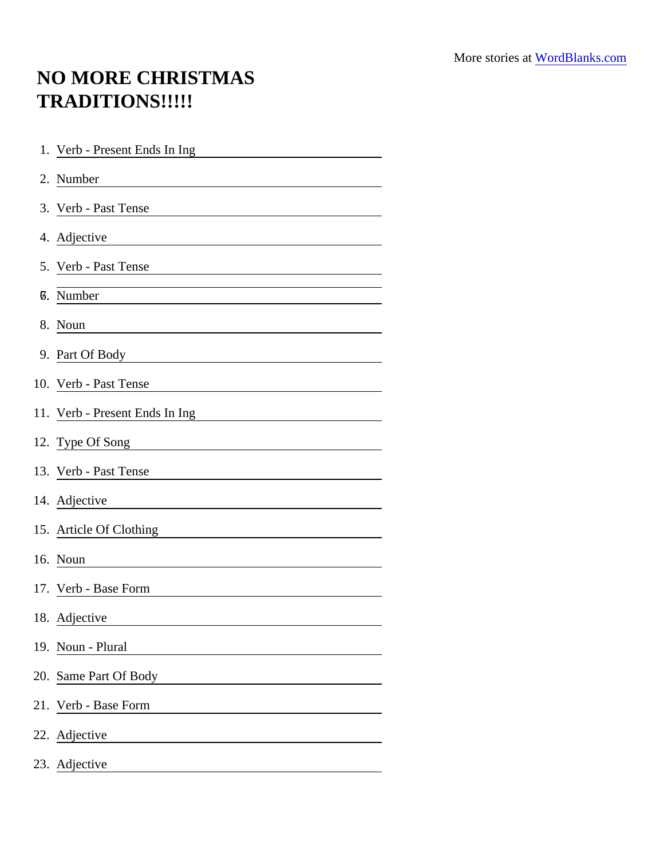## NO MORE CHRISTMAS TRADITIONS!!!!!

| 1. Verb - Present Ends In Ing                                                                                                     |
|-----------------------------------------------------------------------------------------------------------------------------------|
| 2. Number<br><u> 1980 - Andrea Station Barbara, politik eta provincia eta provincia eta provincia eta provincia eta provincia</u> |
| 3. Verb - Past Tense                                                                                                              |
| 4. Adjective                                                                                                                      |
| 5. Verb - Past Tense                                                                                                              |
| <b>7.</b> Number                                                                                                                  |
| 8. Noun                                                                                                                           |
| 9. Part Of Body                                                                                                                   |
| 10. Verb - Past Tense                                                                                                             |
| 11. Verb - Present Ends In Ing<br><u> 1989 - Johann Stoff, Amerikaansk politiker (</u>                                            |
| 12. Type Of Song                                                                                                                  |
| 13. Verb - Past Tense                                                                                                             |
| 14. Adjective                                                                                                                     |
| 15. Article Of Clothing                                                                                                           |
| 16. Noun                                                                                                                          |
| 17. Verb - Base Form                                                                                                              |
| 18. Adjective                                                                                                                     |
| 19. Noun - Plural                                                                                                                 |
| 20. Same Part Of Body                                                                                                             |
| 21. Verb - Base Form                                                                                                              |
| 22. Adjective                                                                                                                     |
| 23. Adjective                                                                                                                     |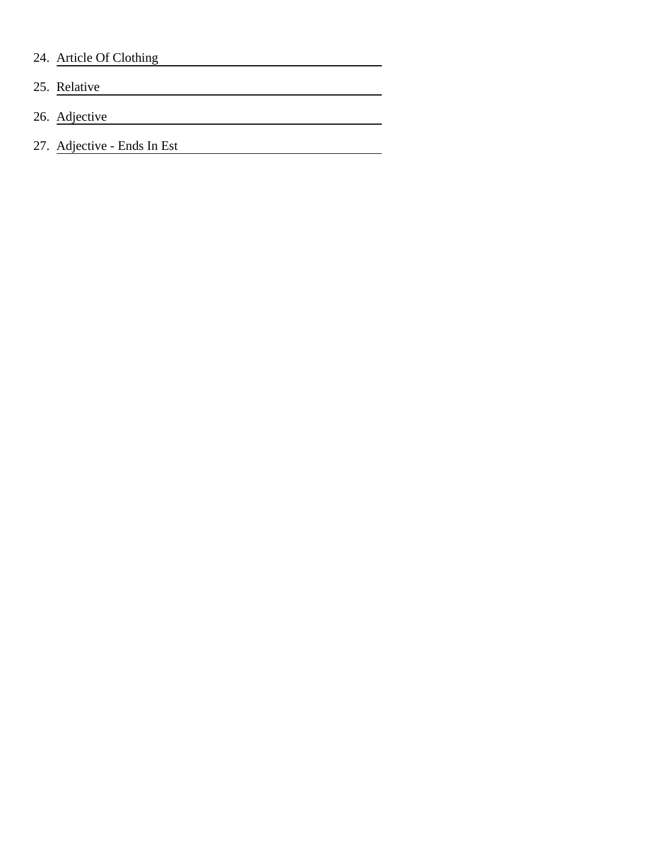## 24. Article Of Clothing

- 25. Relative
- 26. Adjective
- 27. Adjective Ends In Est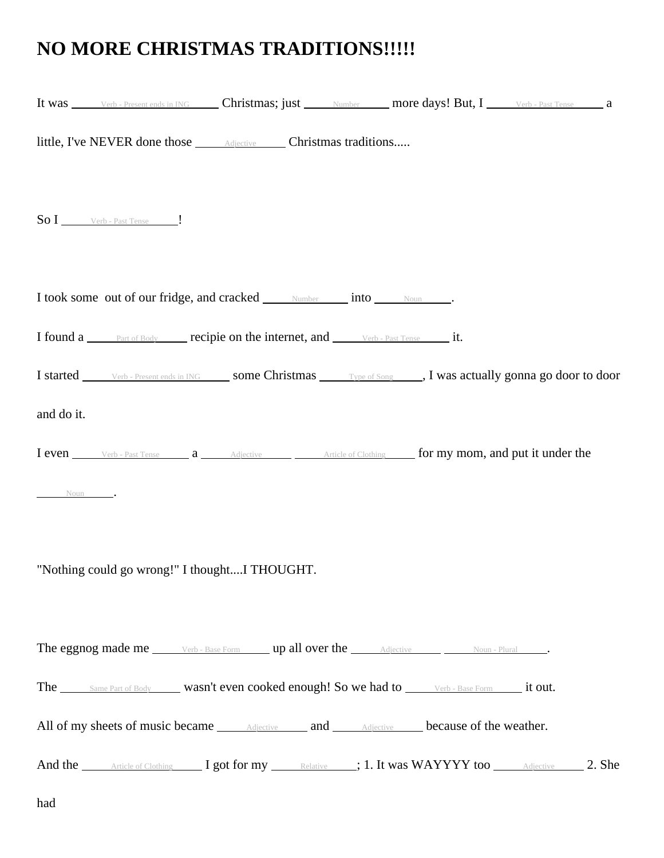## **NO MORE CHRISTMAS TRADITIONS!!!!!**

|            |                                                                                       |  | It was verb-Present ends in ING Christmas; just Number more days! But, I Verb-Past Tense a            |  |
|------------|---------------------------------------------------------------------------------------|--|-------------------------------------------------------------------------------------------------------|--|
|            | little, I've NEVER done those <u>Adjective</u> Christmas traditions                   |  |                                                                                                       |  |
|            | $\textbf{So I}$ Verb - Past Tense $\qquad$ .                                          |  |                                                                                                       |  |
|            | I took some out of our fridge, and cracked <u>Number into Noum</u> .                  |  |                                                                                                       |  |
|            | I found a <u>Part of Body</u> recipie on the internet, and <u>verb-Past Tense</u> it. |  |                                                                                                       |  |
|            |                                                                                       |  | I started verb-Present ends in ING some Christmas Type of Song , I was actually gonna go door to door |  |
| and do it. |                                                                                       |  |                                                                                                       |  |
|            |                                                                                       |  | I even Verb - Past Tense a Adjective Article of Clothing for my mom, and put it under the             |  |
| Noun.      |                                                                                       |  |                                                                                                       |  |
|            | "Nothing could go wrong!" I thoughtI THOUGHT.                                         |  |                                                                                                       |  |
|            |                                                                                       |  |                                                                                                       |  |
|            |                                                                                       |  | The Same Part of Body wasn't even cooked enough! So we had to verb - Base Form it out.                |  |
|            |                                                                                       |  | All of my sheets of music became <u>Adjective</u> and <u>Adjective</u> because of the weather.        |  |
|            |                                                                                       |  | And the Article of Clothing I got for my Relative ; 1. It was WAYYYY too Adjective 2. She             |  |